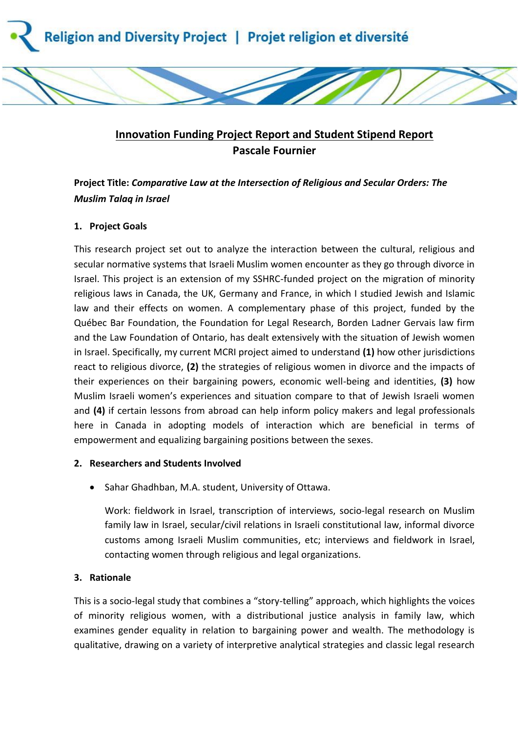



# **Innovation Funding Project Report and Student Stipend Report Pascale Fournier**

## **Project Title:** *Comparative Law at the Intersection of Religious and Secular Orders: The Muslim Talaq in Israel*

## **1. Project Goals**

This research project set out to analyze the interaction between the cultural, religious and secular normative systems that Israeli Muslim women encounter as they go through divorce in Israel. This project is an extension of my SSHRC-funded project on the migration of minority religious laws in Canada, the UK, Germany and France, in which I studied Jewish and Islamic law and their effects on women. A complementary phase of this project, funded by the Québec Bar Foundation, the Foundation for Legal Research, Borden Ladner Gervais law firm and the Law Foundation of Ontario, has dealt extensively with the situation of Jewish women in Israel. Specifically, my current MCRI project aimed to understand **(1)** how other jurisdictions react to religious divorce, **(2)** the strategies of religious women in divorce and the impacts of their experiences on their bargaining powers, economic well-being and identities, **(3)** how Muslim Israeli women's experiences and situation compare to that of Jewish Israeli women and **(4)** if certain lessons from abroad can help inform policy makers and legal professionals here in Canada in adopting models of interaction which are beneficial in terms of empowerment and equalizing bargaining positions between the sexes.

## **2. Researchers and Students Involved**

• Sahar Ghadhban, M.A. student, University of Ottawa.

Work: fieldwork in Israel, transcription of interviews, socio-legal research on Muslim family law in Israel, secular/civil relations in Israeli constitutional law, informal divorce customs among Israeli Muslim communities, etc; interviews and fieldwork in Israel, contacting women through religious and legal organizations.

## **3. Rationale**

This is a socio-legal study that combines a "story-telling" approach, which highlights the voices of minority religious women, with a distributional justice analysis in family law, which examines gender equality in relation to bargaining power and wealth. The methodology is qualitative, drawing on a variety of interpretive analytical strategies and classic legal research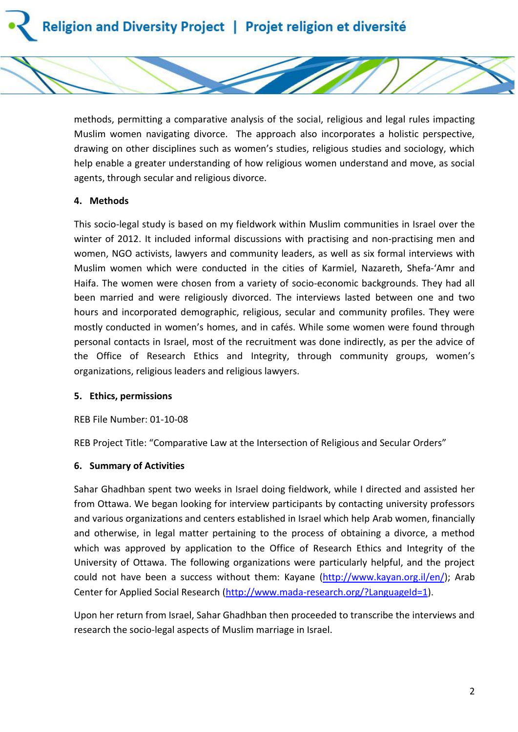

methods, permitting a comparative analysis of the social, religious and legal rules impacting Muslim women navigating divorce. The approach also incorporates a holistic perspective, drawing on other disciplines such as women's studies, religious studies and sociology, which help enable a greater understanding of how religious women understand and move, as social agents, through secular and religious divorce.

#### **4. Methods**

This socio-legal study is based on my fieldwork within Muslim communities in Israel over the winter of 2012. It included informal discussions with practising and non-practising men and women, NGO activists, lawyers and community leaders, as well as six formal interviews with Muslim women which were conducted in the cities of Karmiel, Nazareth, Shefa-'Amr and Haifa. The women were chosen from a variety of socio-economic backgrounds. They had all been married and were religiously divorced. The interviews lasted between one and two hours and incorporated demographic, religious, secular and community profiles. They were mostly conducted in women's homes, and in cafés. While some women were found through personal contacts in Israel, most of the recruitment was done indirectly, as per the advice of the Office of Research Ethics and Integrity, through community groups, women's organizations, religious leaders and religious lawyers.

#### **5. Ethics, permissions**

REB File Number: 01-10-08

REB Project Title: "Comparative Law at the Intersection of Religious and Secular Orders"

#### **6. Summary of Activities**

Sahar Ghadhban spent two weeks in Israel doing fieldwork, while I directed and assisted her from Ottawa. We began looking for interview participants by contacting university professors and various organizations and centers established in Israel which help Arab women, financially and otherwise, in legal matter pertaining to the process of obtaining a divorce, a method which was approved by application to the Office of Research Ethics and Integrity of the University of Ottawa. The following organizations were particularly helpful, and the project could not have been a success without them: Kayane [\(http://www.kayan.org.il/en/\)](http://www.kayan.org.il/en/); Arab Center for Applied Social Research [\(http://www.mada-research.org/?LanguageId=1\)](http://www.mada-research.org/?LanguageId=1).

Upon her return from Israel, Sahar Ghadhban then proceeded to transcribe the interviews and research the socio-legal aspects of Muslim marriage in Israel.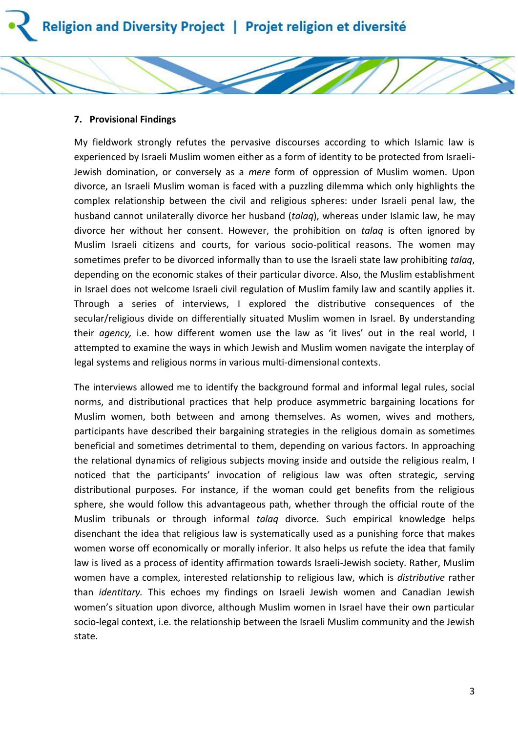#### **7. Provisional Findings**

My fieldwork strongly refutes the pervasive discourses according to which Islamic law is experienced by Israeli Muslim women either as a form of identity to be protected from Israeli-Jewish domination, or conversely as a *mere* form of oppression of Muslim women. Upon divorce, an Israeli Muslim woman is faced with a puzzling dilemma which only highlights the complex relationship between the civil and religious spheres: under Israeli penal law, the husband cannot unilaterally divorce her husband (*talaq*), whereas under Islamic law, he may divorce her without her consent. However, the prohibition on *talaq* is often ignored by Muslim Israeli citizens and courts, for various socio-political reasons. The women may sometimes prefer to be divorced informally than to use the Israeli state law prohibiting *talaq*, depending on the economic stakes of their particular divorce. Also, the Muslim establishment in Israel does not welcome Israeli civil regulation of Muslim family law and scantily applies it. Through a series of interviews, I explored the distributive consequences of the secular/religious divide on differentially situated Muslim women in Israel. By understanding their *agency,* i.e. how different women use the law as 'it lives' out in the real world, I attempted to examine the ways in which Jewish and Muslim women navigate the interplay of legal systems and religious norms in various multi-dimensional contexts.

The interviews allowed me to identify the background formal and informal legal rules, social norms, and distributional practices that help produce asymmetric bargaining locations for Muslim women, both between and among themselves. As women, wives and mothers, participants have described their bargaining strategies in the religious domain as sometimes beneficial and sometimes detrimental to them, depending on various factors. In approaching the relational dynamics of religious subjects moving inside and outside the religious realm, I noticed that the participants' invocation of religious law was often strategic, serving distributional purposes. For instance, if the woman could get benefits from the religious sphere, she would follow this advantageous path, whether through the official route of the Muslim tribunals or through informal *talaq* divorce. Such empirical knowledge helps disenchant the idea that religious law is systematically used as a punishing force that makes women worse off economically or morally inferior. It also helps us refute the idea that family law is lived as a process of identity affirmation towards Israeli-Jewish society. Rather, Muslim women have a complex, interested relationship to religious law, which is *distributive* rather than *identitary.* This echoes my findings on Israeli Jewish women and Canadian Jewish women's situation upon divorce, although Muslim women in Israel have their own particular socio-legal context, i.e. the relationship between the Israeli Muslim community and the Jewish state.